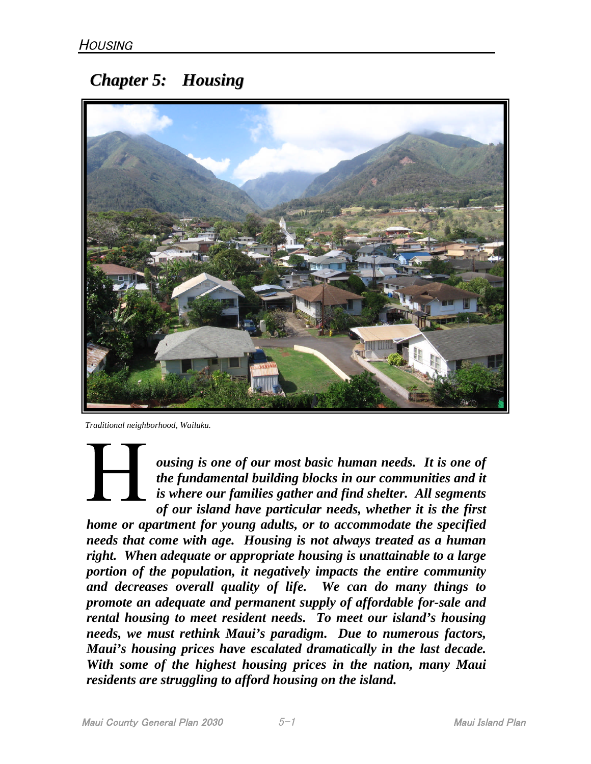# *Chapter 5: Housing*



*Traditional neighborhood, Wailuku.*

*ousing is one of our most basic human needs. It is one of the fundamental building blocks in our communities and it is where our families gather and find shelter. All segments of our island have particular needs, whether it is the first*

*home or apartment for young adults, or to accommodate the specified needs that come with age. Housing is not always treated as a human right. When adequate or appropriate housing is unattainable to a large portion of the population, it negatively impacts the entire community and decreases overall quality of life. We can do many things to promote an adequate and permanent supply of affordable for-sale and rental housing to meet resident needs. To meet our island's housing needs, we must rethink Maui's paradigm. Due to numerous factors, Maui's housing prices have escalated dramatically in the last decade. With some of the highest housing prices in the nation, many Maui residents are struggling to afford housing on the island.*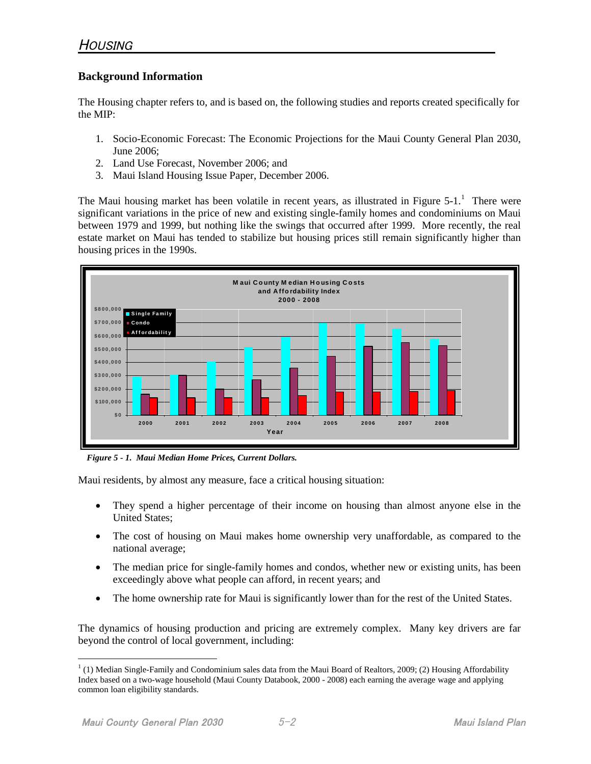## **Background Information**

The Housing chapter refers to, and is based on, the following studies and reports created specifically for the MIP:

- 1. Socio-Economic Forecast: The Economic Projections for the Maui County General Plan 2030, June 2006;
- 2. Land Use Forecast, November 2006; and
- 3. Maui Island Housing Issue Paper, December 2006.

TheMaui housing market has been volatile in recent years, as illustrated in Figure  $5-1$ .<sup>1</sup> There were significant variations in the price of new and existing single-family homes and condominiums on Maui between 1979 and 1999, but nothing like the swings that occurred after 1999. More recently, the real estate market on Maui has tended to stabilize but housing prices still remain significantly higher than housing prices in the 1990s.



*Figure 5 - 1. Maui Median Home Prices, Current Dollars.*

Maui residents, by almost any measure, face a critical housing situation:

- They spend a higher percentage of their income on housing than almost anyone else in the United States;
- The cost of housing on Maui makes home ownership very unaffordable, as compared to the national average;
- The median price for single-family homes and condos, whether new or existing units, has been exceedingly above what people can afford, in recent years; and
- The home ownership rate for Maui is significantly lower than for the rest of the United States.

The dynamics of housing production and pricing are extremely complex. Many key drivers are far beyond the control of local government, including:

<span id="page-1-0"></span> $<sup>1</sup>$  (1) Median Single-Family and Condominium sales data from the Maui Board of Realtors, 2009; (2) Housing Affordability</sup> Index based on a two-wage household (Maui County Databook, 2000 - 2008) each earning the average wage and applying common loan eligibility standards.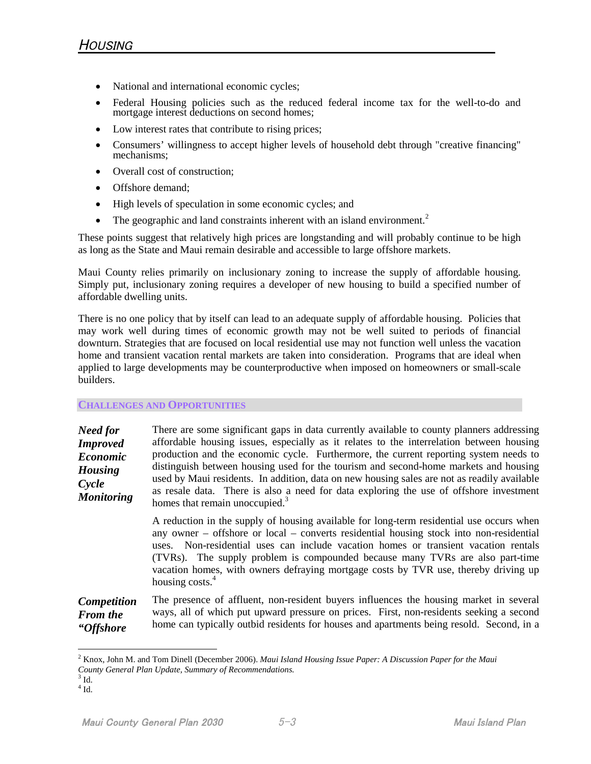- National and international economic cycles;
- Federal Housing policies such as the reduced federal income tax for the well-to-do and mortgage interest deductions on second homes;
- Low interest rates that contribute to rising prices;
- Consumers' willingness to accept higher levels of household debt through "creative financing" mechanisms;
- Overall cost of construction;
- Offshore demand;
- High levels of speculation in some economic cycles; and
- The geographic and land constraints inherent with an island environment.<sup>2</sup>

These points suggest that relatively high prices are longstanding and will probably continue to be high as long as the State and Maui remain desirable and accessible to large offshore markets.

Maui County relies primarily on inclusionary zoning to increase the supply of affordable housing. Simply put, inclusionary zoning requires a developer of new housing to build a specified number of affordable dwelling units.

There is no one policy that by itself can lead to an adequate supply of affordable housing. Policies that may work well during times of economic growth may not be well suited to periods of financial downturn. Strategies that are focused on local residential use may not function well unless the vacation home and transient vacation rental markets are taken into consideration. Programs that are ideal when applied to large developments may be counterproductive when imposed on homeowners or small-scale builders.

## **CHALLENGES AND OPPORTUNITIES**

| Need for<br><b>Improved</b><br><b>Economic</b><br><b>Housing</b><br>Cycle<br><b>Monitoring</b> | There are some significant gaps in data currently available to county planners addressing<br>affordable housing issues, especially as it relates to the interrelation between housing<br>production and the economic cycle. Furthermore, the current reporting system needs to<br>distinguish between housing used for the tourism and second-home markets and housing<br>used by Maui residents. In addition, data on new housing sales are not as readily available<br>as resale data. There is also a need for data exploring the use of offshore investment<br>homes that remain unoccupied. <sup>3</sup> |
|------------------------------------------------------------------------------------------------|---------------------------------------------------------------------------------------------------------------------------------------------------------------------------------------------------------------------------------------------------------------------------------------------------------------------------------------------------------------------------------------------------------------------------------------------------------------------------------------------------------------------------------------------------------------------------------------------------------------|
|                                                                                                | A reduction in the supply of housing available for long-term residential use occurs when<br>any owner – offshore or local – converts residential housing stock into non-residential<br>uses. Non-residential uses can include vacation homes or transient vacation rentals<br>(TVRs). The supply problem is compounded because many TVRs are also part-time<br>vacation homes, with owners defraying mortgage costs by TVR use, thereby driving up<br>housing costs. <sup>4</sup>                                                                                                                             |
| <b>Competition</b>                                                                             | The presence of affluent, non-resident buyers influences the housing market in several                                                                                                                                                                                                                                                                                                                                                                                                                                                                                                                        |

*From the "Offshore* ways, all of which put upward pressure on prices. First, non-residents seeking a second home can typically outbid residents for houses and apartments being resold. Second, in a

<sup>2</sup> Knox, John M. and Tom Dinell (December 2006). *Maui Island Housing Issue Paper: A Discussion Paper for the Maui County General Plan Update, Summary of Recommendations.*

<span id="page-2-0"></span> $3$  Id.

<span id="page-2-1"></span> $4$  Id.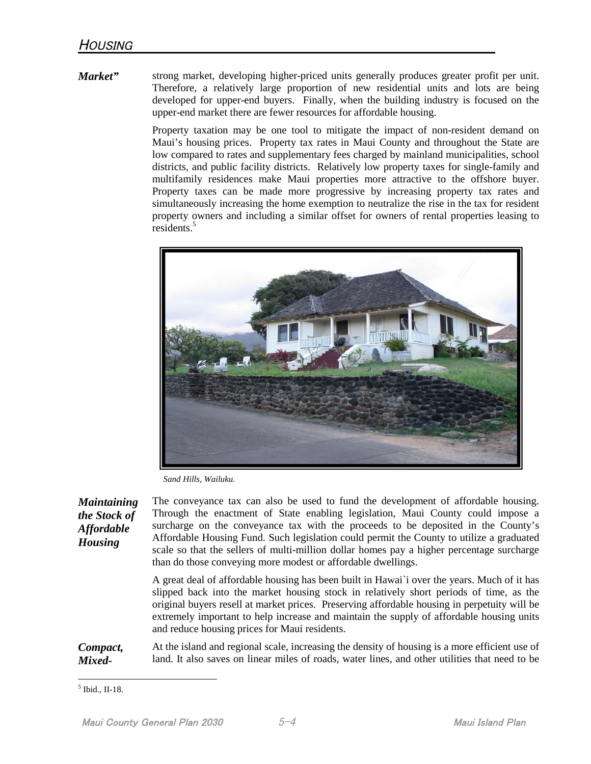*Market"* strong market, developing higher-priced units generally produces greater profit per unit. Therefore, a relatively large proportion of new residential units and lots are being developed for upper-end buyers. Finally, when the building industry is focused on the upper-end market there are fewer resources for affordable housing.

> Property taxation may be one tool to mitigate the impact of non-resident demand on Maui's housing prices. Property tax rates in Maui County and throughout the State are low compared to rates and supplementary fees charged by mainland municipalities, school districts, and public facility districts. Relatively low property taxes for single-family and multifamily residences make Maui properties more attractive to the offshore buyer. Property taxes can be made more progressive by increasing property tax rates and simultaneously increasing the home exemption to neutralize the rise in the tax for resident property owners and including a similar offset for owners of rental properties leasing to residents.<sup>[5](#page-3-0)</sup>



*Sand Hills, Wailuku.*

*Maintaining the Stock of Affordable Housing* The conveyance tax can also be used to fund the development of affordable housing. Through the enactment of State enabling legislation, Maui County could impose a surcharge on the conveyance tax with the proceeds to be deposited in the County's Affordable Housing Fund. Such legislation could permit the County to utilize a graduated scale so that the sellers of multi-million dollar homes pay a higher percentage surcharge than do those conveying more modest or affordable dwellings.

> A great deal of affordable housing has been built in Hawai`i over the years. Much of it has slipped back into the market housing stock in relatively short periods of time, as the original buyers resell at market prices. Preserving affordable housing in perpetuity will be extremely important to help increase and maintain the supply of affordable housing units and reduce housing prices for Maui residents.

*Compact, Mixed-*At the island and regional scale, increasing the density of housing is a more efficient use of land. It also saves on linear miles of roads, water lines, and other utilities that need to be

<span id="page-3-0"></span><sup>5</sup> Ibid., II-18.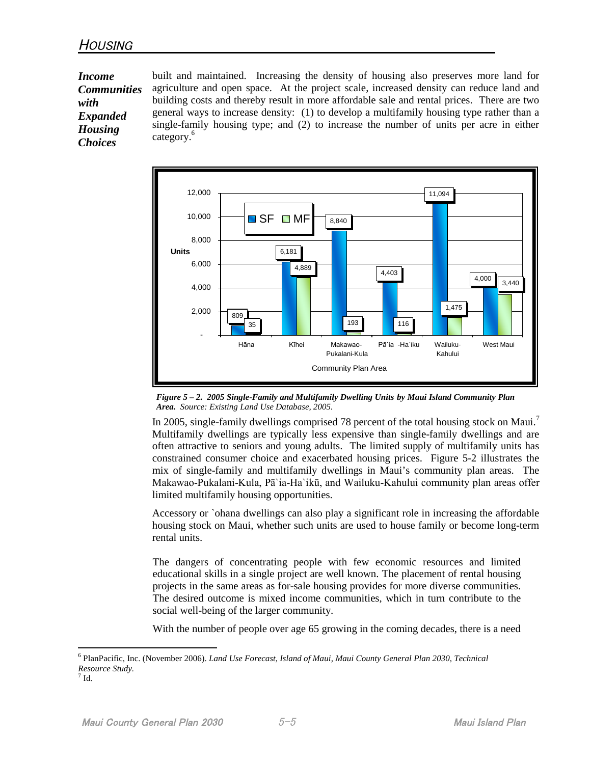*Income Communities with Expanded Housing Choices*

built and maintained. Increasing the density of housing also preserves more land for agriculture and open space. At the project scale, increased density can reduce land and building costs and thereby result in more affordable sale and rental prices. There are two general ways to increase density: (1) to develop a multifamily housing type rather than a single-family housing type; and (2) to increase the number of units per acre in either category.<sup>[6](#page-4-0)</sup>



*Figure 5 – 2. 2005 Single-Family and Multifamily Dwelling Units by Maui Island Community Plan Area. Source: Existing Land Use Database, 2005.*

In 2005, single-family dwellings comprised 78 percent of the total housing stock on Maui.<sup>7</sup> Multifamily dwellings are typically less expensive than single-family dwellings andar[e](#page-4-1) often attractive to seniors and young adults. The limited supply of multifamily units has constrained consumer choice and exacerbated housing prices. Figure 5-2 illustrates the mix of single-family and multifamily dwellings in Maui's community plan areas. The Makawao-Pukalani-Kula, Pā`ia-Ha`ikū, and Wailuku-Kahului community plan areas offer limited multifamily housing opportunities.

Accessory or `ohana dwellings can also play a significant role in increasing the affordable housing stock on Maui, whether such units are used to house family or become long-term rental units.

The dangers of concentrating people with few economic resources and limited educational skills in a single project are well known. The placement of rental housing projects in the same areas as for-sale housing provides for more diverse communities. The desired outcome is mixed income communities, which in turn contribute to the social well-being of the larger community.

With the number of people over age 65 growing in the coming decades, there is a need

<span id="page-4-0"></span><sup>6</sup> PlanPacific, Inc. (November 2006). *Land Use Forecast, Island of Maui, Maui County General Plan 2030, Technical Resource Study.*

<span id="page-4-1"></span><sup>7</sup> Id.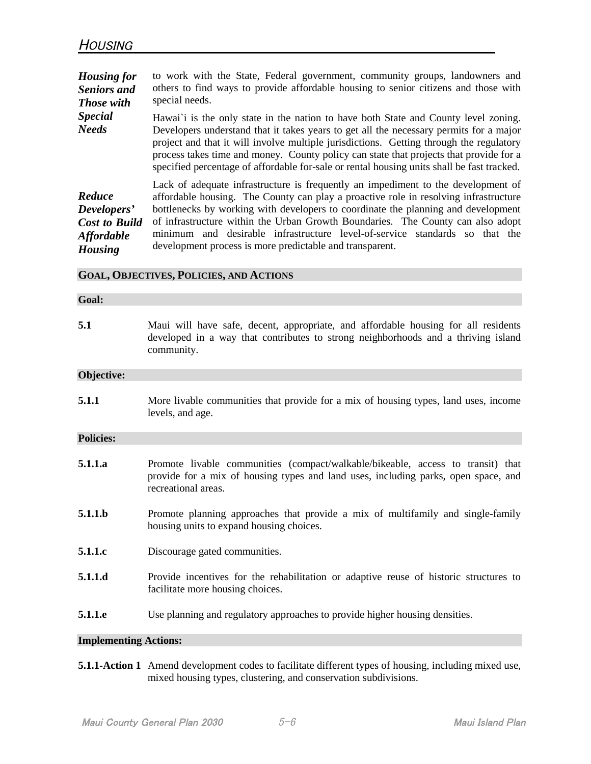| <b>Housing for</b><br><b>Seniors</b> and<br><b>Those</b> with                        | to work with the State, Federal government, community groups, landowners and<br>others to find ways to provide affordable housing to senior citizens and those with<br>special needs.                                                                                                                                                                                                                                                                                                        |
|--------------------------------------------------------------------------------------|----------------------------------------------------------------------------------------------------------------------------------------------------------------------------------------------------------------------------------------------------------------------------------------------------------------------------------------------------------------------------------------------------------------------------------------------------------------------------------------------|
| <b>Special</b><br><b>Needs</b>                                                       | Hawai' i is the only state in the nation to have both State and County level zoning.<br>Developers understand that it takes years to get all the necessary permits for a major<br>project and that it will involve multiple jurisdictions. Getting through the regulatory<br>process takes time and money. County policy can state that projects that provide for a<br>specified percentage of affordable for-sale or rental housing units shall be fast tracked.                            |
| Reduce<br>Developers'<br><b>Cost to Build</b><br><b>Affordable</b><br><b>Housing</b> | Lack of adequate infrastructure is frequently an impediment to the development of<br>affordable housing. The County can play a proactive role in resolving infrastructure<br>bottlenecks by working with developers to coordinate the planning and development<br>of infrastructure within the Urban Growth Boundaries. The County can also adopt<br>minimum and desirable infrastructure level-of-service standards so that the<br>development process is more predictable and transparent. |

#### **GOAL, OBJECTIVES, POLICIES, AND ACTIONS**

#### **Goal:**

| 5.1 | Maui will have safe, decent, appropriate, and affordable housing for all residents |
|-----|------------------------------------------------------------------------------------|
|     | developed in a way that contributes to strong neighborhoods and a thriving island  |
|     | community.                                                                         |

#### **Objective:**

**5.1.1** More livable communities that provide for a mix of housing types, land uses, income levels, and age.

#### **Policies:**

- **5.1.1.a** Promote livable communities (compact/walkable/bikeable, access to transit) that provide for a mix of housing types and land uses, including parks, open space, and recreational areas.
- **5.1.1.b** Promote planning approaches that provide a mix of multifamily and single-family housing units to expand housing choices.
- **5.1.1.c** Discourage gated communities.
- **5.1.1.d** Provide incentives for the rehabilitation or adaptive reuse of historic structures to facilitate more housing choices.
- **5.1.1.e** Use planning and regulatory approaches to provide higher housing densities.

### **Implementing Actions:**

**5.1.1-Action 1** Amend development codes to facilitate different types of housing, including mixed use, mixed housing types, clustering, and conservation subdivisions.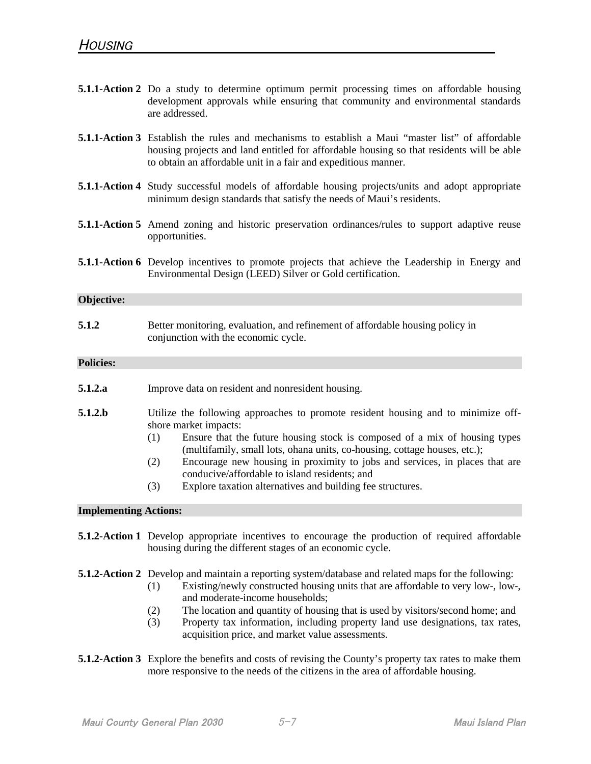|                              | <b>5.1.1-Action 2</b> Do a study to determine optimum permit processing times on affordable housing<br>development approvals while ensuring that community and environmental standards<br>are addressed.                                                                                                                                                                                                                                                                                 |
|------------------------------|------------------------------------------------------------------------------------------------------------------------------------------------------------------------------------------------------------------------------------------------------------------------------------------------------------------------------------------------------------------------------------------------------------------------------------------------------------------------------------------|
|                              | <b>5.1.1-Action 3</b> Establish the rules and mechanisms to establish a Maui "master list" of affordable<br>housing projects and land entitled for affordable housing so that residents will be able<br>to obtain an affordable unit in a fair and expeditious manner.                                                                                                                                                                                                                   |
|                              | <b>5.1.1-Action 4</b> Study successful models of affordable housing projects/units and adopt appropriate<br>minimum design standards that satisfy the needs of Maui's residents.                                                                                                                                                                                                                                                                                                         |
|                              | <b>5.1.1-Action 5</b> Amend zoning and historic preservation ordinances/rules to support adaptive reuse<br>opportunities.                                                                                                                                                                                                                                                                                                                                                                |
|                              | <b>5.1.1-Action 6</b> Develop incentives to promote projects that achieve the Leadership in Energy and<br>Environmental Design (LEED) Silver or Gold certification.                                                                                                                                                                                                                                                                                                                      |
| Objective:                   |                                                                                                                                                                                                                                                                                                                                                                                                                                                                                          |
| 5.1.2                        | Better monitoring, evaluation, and refinement of affordable housing policy in<br>conjunction with the economic cycle.                                                                                                                                                                                                                                                                                                                                                                    |
| <b>Policies:</b>             |                                                                                                                                                                                                                                                                                                                                                                                                                                                                                          |
| 5.1.2.a                      | Improve data on resident and nonresident housing.                                                                                                                                                                                                                                                                                                                                                                                                                                        |
| 5.1.2.b                      | Utilize the following approaches to promote resident housing and to minimize off-<br>shore market impacts:<br>Ensure that the future housing stock is composed of a mix of housing types<br>(1)<br>(multifamily, small lots, ohana units, co-housing, cottage houses, etc.);<br>Encourage new housing in proximity to jobs and services, in places that are<br>(2)<br>conducive/affordable to island residents; and<br>(3)<br>Explore taxation alternatives and building fee structures. |
| <b>Implementing Actions:</b> |                                                                                                                                                                                                                                                                                                                                                                                                                                                                                          |
|                              | <b>5.1.2-Action 1</b> Develop appropriate incentives to encourage the production of required affordable<br>housing during the different stages of an economic cycle.                                                                                                                                                                                                                                                                                                                     |
|                              | <b>5.1.2-Action 2</b> Develop and maintain a reporting system/database and related maps for the following:<br>Existing/newly constructed housing units that are affordable to very low-, low-,<br>(1)<br>and moderate-income households:<br>The location and quantity of housing that is used by visitors/second home; and<br>(2)<br>(2)<br>canter taxe in Cannonical city also din a management langularea da aizen                                                                     |

- (3) Property tax information, including property land use designations, tax rates, acquisition price, and market value assessments.
- **5.1.2-Action 3** Explore the benefits and costs of revising the County's property tax rates to make them more responsive to the needs of the citizens in the area of affordable housing.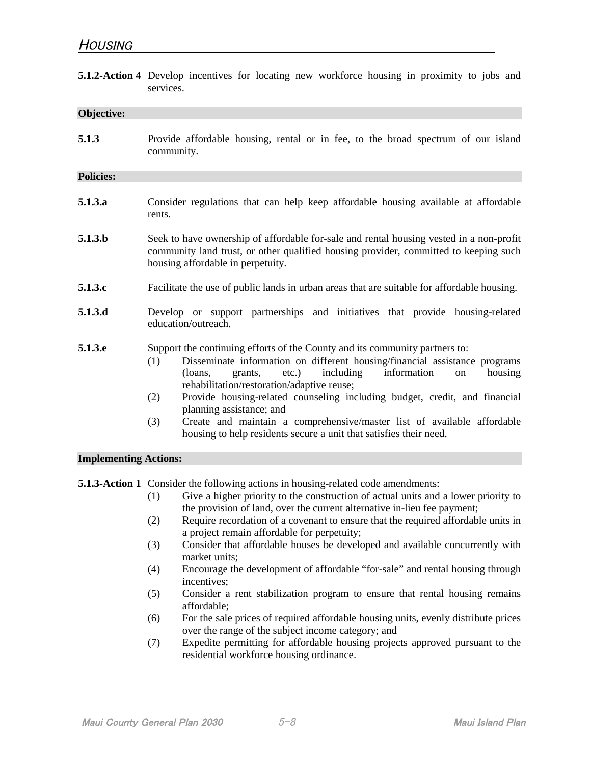**5.1.2-Action 4** Develop incentives for locating new workforce housing in proximity to jobs and services.

## **Objective:**

**5.1.3** Provide affordable housing, rental or in fee, to the broad spectrum of our island community.

#### **Policies:**

- **5.1.3.a** Consider regulations that can help keep affordable housing available at affordable rents.
- **5.1.3.b** Seek to have ownership of affordable for-sale and rental housing vested in a non-profit community land trust, or other qualified housing provider, committed to keeping such housing affordable in perpetuity.
- **5.1.3.c** Facilitate the use of public lands in urban areas that are suitable for affordable housing.
- **5.1.3.d** Develop or support partnerships and initiatives that provide housing-related education/outreach.
- **5.1.3.e** Support the continuing efforts of the County and its community partners to:
	- (1) Disseminate information on different housing/financial assistance programs (loans, grants, etc.) including information on housing rehabilitation/restoration/adaptive reuse;
	- (2) Provide housing-related counseling including budget, credit, and financial planning assistance; and
	- (3) Create and maintain a comprehensive/master list of available affordable housing to help residents secure a unit that satisfies their need.

#### **Implementing Actions:**

**5.1.3-Action 1** Consider the following actions in housing-related code amendments:

- (1) Give a higher priority to the construction of actual units and a lower priority to the provision of land, over the current alternative in-lieu fee payment;
- (2) Require recordation of a covenant to ensure that the required affordable units in a project remain affordable for perpetuity;
- (3) Consider that affordable houses be developed and available concurrently with market units;
- (4) Encourage the development of affordable "for-sale" and rental housing through incentives;
- (5) Consider a rent stabilization program to ensure that rental housing remains affordable;
- (6) For the sale prices of required affordable housing units, evenly distribute prices over the range of the subject income category; and
- (7) Expedite permitting for affordable housing projects approved pursuant to the residential workforce housing ordinance.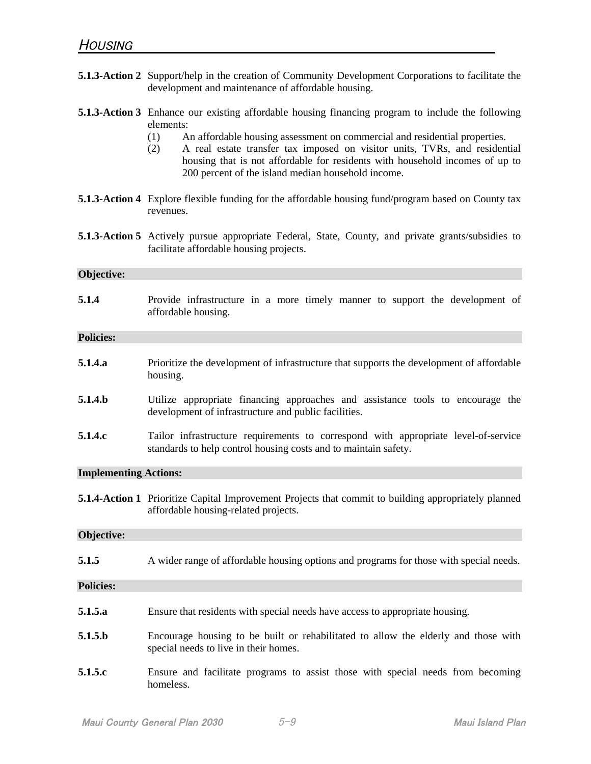|                              | <b>5.1.3-Action 2</b> Support/help in the creation of Community Development Corporations to facilitate the<br>development and maintenance of affordable housing.                                                                                                                                                                                                                                                                      |
|------------------------------|---------------------------------------------------------------------------------------------------------------------------------------------------------------------------------------------------------------------------------------------------------------------------------------------------------------------------------------------------------------------------------------------------------------------------------------|
|                              | <b>5.1.3-Action 3</b> Enhance our existing affordable housing financing program to include the following<br>elements:<br>An affordable housing assessment on commercial and residential properties.<br>(1)<br>A real estate transfer tax imposed on visitor units, TVRs, and residential<br>(2)<br>housing that is not affordable for residents with household incomes of up to<br>200 percent of the island median household income. |
|                              | <b>5.1.3-Action 4</b> Explore flexible funding for the affordable housing fund/program based on County tax<br>revenues.                                                                                                                                                                                                                                                                                                               |
|                              | <b>5.1.3-Action 5</b> Actively pursue appropriate Federal, State, County, and private grants/subsidies to<br>facilitate affordable housing projects.                                                                                                                                                                                                                                                                                  |
| Objective:                   |                                                                                                                                                                                                                                                                                                                                                                                                                                       |
| 5.1.4                        | Provide infrastructure in a more timely manner to support the development of<br>affordable housing.                                                                                                                                                                                                                                                                                                                                   |
| <b>Policies:</b>             |                                                                                                                                                                                                                                                                                                                                                                                                                                       |
| 5.1.4.a                      | Prioritize the development of infrastructure that supports the development of affordable<br>housing.                                                                                                                                                                                                                                                                                                                                  |
| 5.1.4.b                      | Utilize appropriate financing approaches and assistance tools to encourage the<br>development of infrastructure and public facilities.                                                                                                                                                                                                                                                                                                |
| 5.1.4.c                      | Tailor infrastructure requirements to correspond with appropriate level-of-service<br>standards to help control housing costs and to maintain safety.                                                                                                                                                                                                                                                                                 |
| <b>Implementing Actions:</b> |                                                                                                                                                                                                                                                                                                                                                                                                                                       |
|                              | 5.1.4-Action 1 Prioritize Capital Improvement Projects that commit to building appropriately planned<br>affordable housing-related projects.                                                                                                                                                                                                                                                                                          |
| Objective:                   |                                                                                                                                                                                                                                                                                                                                                                                                                                       |
| 5.1.5                        | A wider range of affordable housing options and programs for those with special needs.                                                                                                                                                                                                                                                                                                                                                |
| <b>Policies:</b>             |                                                                                                                                                                                                                                                                                                                                                                                                                                       |
| 5.1.5.a                      | Ensure that residents with special needs have access to appropriate housing.                                                                                                                                                                                                                                                                                                                                                          |
| 5.1.5 <sub>b</sub>           | Encourage housing to be built or rehabilitated to allow the elderly and those with<br>special needs to live in their homes.                                                                                                                                                                                                                                                                                                           |
| 5.1.5.c                      | Ensure and facilitate programs to assist those with special needs from becoming<br>homeless.                                                                                                                                                                                                                                                                                                                                          |
|                              |                                                                                                                                                                                                                                                                                                                                                                                                                                       |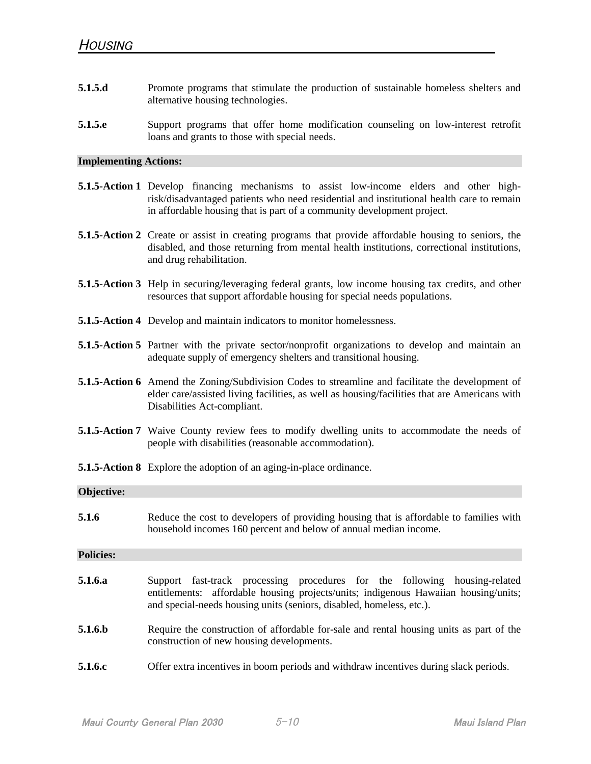- **5.1.5.d** Promote programs that stimulate the production of sustainable homeless shelters and alternative housing technologies.
- **5.1.5.e** Support programs that offer home modification counseling on low-interest retrofit loans and grants to those with special needs.

## **Implementing Actions:**

- **5.1.5-Action 1** Develop financing mechanisms to assist low-income elders and other highrisk/disadvantaged patients who need residential and institutional health care to remain in affordable housing that is part of a community development project. **5.1.5-Action 2** Create or assist in creating programs that provide affordable housing to seniors, the disabled, and those returning from mental health institutions, correctional institutions, and drug rehabilitation. **5.1.5-Action 3** Help in securing/leveraging federal grants, low income housing tax credits, and other resources that support affordable housing for special needs populations. **5.1.5-Action 4** Develop and maintain indicators to monitor homelessness. **5.1.5-Action 5** Partner with the private sector/nonprofit organizations to develop and maintain an adequate supply of emergency shelters and transitional housing. **5.1.5-Action 6** Amend the Zoning/Subdivision Codes to streamline and facilitate the development of elder care/assisted living facilities, as well as housing/facilities that are Americans with Disabilities Act-compliant. **5.1.5-Action 7** Waive County review fees to modify dwelling units to accommodate the needs of people with disabilities (reasonable accommodation). **5.1.5-Action 8** Explore the adoption of an aging-in-place ordinance. **Objective: 5.1.6** Reduce the cost to developers of providing housing that is affordable to families with household incomes 160 percent and below of annual median income. **Policies: 5.1.6.a** Support fast-track processing procedures for the following housing-related entitlements: affordable housing projects/units; indigenous Hawaiian housing/units; and special-needs housing units (seniors, disabled, homeless, etc.). **5.1.6.b** Require the construction of affordable for-sale and rental housing units as part of the construction of new housing developments.
- **5.1.6.c** Offer extra incentives in boom periods and withdraw incentives during slack periods.